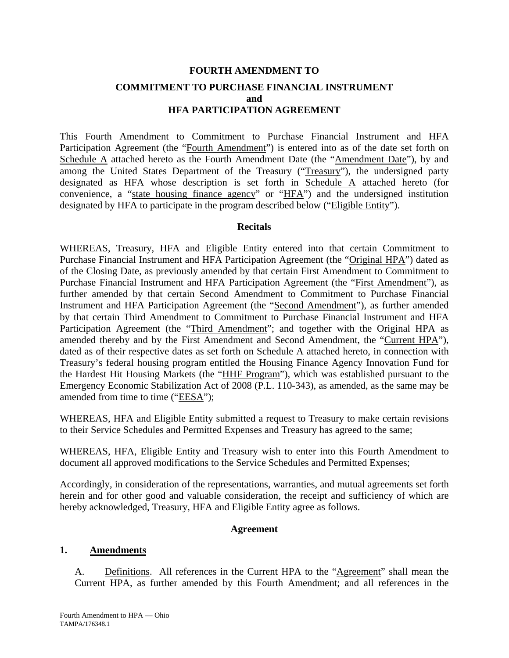# **FOURTH AMENDMENT TO COMMITMENT TO PURCHASE FINANCIAL INSTRUMENT and HFA PARTICIPATION AGREEMENT**

This Fourth Amendment to Commitment to Purchase Financial Instrument and HFA Participation Agreement (the "Fourth Amendment") is entered into as of the date set forth on Schedule A attached hereto as the Fourth Amendment Date (the "Amendment Date"), by and among the United States Department of the Treasury ("Treasury"), the undersigned party designated as HFA whose description is set forth in Schedule A attached hereto (for convenience, a "state housing finance agency" or "HFA") and the undersigned institution designated by HFA to participate in the program described below ("Eligible Entity").

#### **Recitals**

WHEREAS, Treasury, HFA and Eligible Entity entered into that certain Commitment to Purchase Financial Instrument and HFA Participation Agreement (the "Original HPA") dated as of the Closing Date, as previously amended by that certain First Amendment to Commitment to Purchase Financial Instrument and HFA Participation Agreement (the "First Amendment"), as further amended by that certain Second Amendment to Commitment to Purchase Financial Instrument and HFA Participation Agreement (the "Second Amendment"), as further amended by that certain Third Amendment to Commitment to Purchase Financial Instrument and HFA Participation Agreement (the "Third Amendment"; and together with the Original HPA as amended thereby and by the First Amendment and Second Amendment, the "Current HPA"), dated as of their respective dates as set forth on Schedule A attached hereto, in connection with Treasury's federal housing program entitled the Housing Finance Agency Innovation Fund for the Hardest Hit Housing Markets (the "HHF Program"), which was established pursuant to the Emergency Economic Stabilization Act of 2008 (P.L. 110-343), as amended, as the same may be amended from time to time ("EESA");

WHEREAS, HFA and Eligible Entity submitted a request to Treasury to make certain revisions to their Service Schedules and Permitted Expenses and Treasury has agreed to the same;

WHEREAS, HFA, Eligible Entity and Treasury wish to enter into this Fourth Amendment to document all approved modifications to the Service Schedules and Permitted Expenses;

Accordingly, in consideration of the representations, warranties, and mutual agreements set forth herein and for other good and valuable consideration, the receipt and sufficiency of which are hereby acknowledged, Treasury, HFA and Eligible Entity agree as follows.

#### **Agreement**

#### **1. Amendments**

A. Definitions. All references in the Current HPA to the "Agreement" shall mean the Current HPA, as further amended by this Fourth Amendment; and all references in the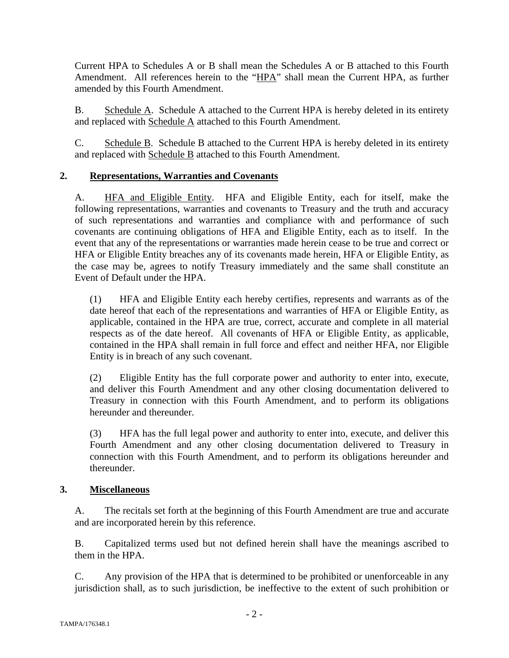Current HPA to Schedules A or B shall mean the Schedules A or B attached to this Fourth Amendment. All references herein to the "HPA" shall mean the Current HPA, as further amended by this Fourth Amendment.

B. Schedule A. Schedule A attached to the Current HPA is hereby deleted in its entirety and replaced with Schedule A attached to this Fourth Amendment.

C. Schedule B. Schedule B attached to the Current HPA is hereby deleted in its entirety and replaced with Schedule B attached to this Fourth Amendment.

## **2. Representations, Warranties and Covenants**

A. HFA and Eligible Entity. HFA and Eligible Entity, each for itself, make the following representations, warranties and covenants to Treasury and the truth and accuracy of such representations and warranties and compliance with and performance of such covenants are continuing obligations of HFA and Eligible Entity, each as to itself. In the event that any of the representations or warranties made herein cease to be true and correct or HFA or Eligible Entity breaches any of its covenants made herein, HFA or Eligible Entity, as the case may be, agrees to notify Treasury immediately and the same shall constitute an Event of Default under the HPA.

(1) HFA and Eligible Entity each hereby certifies, represents and warrants as of the date hereof that each of the representations and warranties of HFA or Eligible Entity, as applicable, contained in the HPA are true, correct, accurate and complete in all material respects as of the date hereof. All covenants of HFA or Eligible Entity, as applicable, contained in the HPA shall remain in full force and effect and neither HFA, nor Eligible Entity is in breach of any such covenant.

(2) Eligible Entity has the full corporate power and authority to enter into, execute, and deliver this Fourth Amendment and any other closing documentation delivered to Treasury in connection with this Fourth Amendment, and to perform its obligations hereunder and thereunder.

(3) HFA has the full legal power and authority to enter into, execute, and deliver this Fourth Amendment and any other closing documentation delivered to Treasury in connection with this Fourth Amendment, and to perform its obligations hereunder and thereunder.

## **3. Miscellaneous**

A. The recitals set forth at the beginning of this Fourth Amendment are true and accurate and are incorporated herein by this reference.

B. Capitalized terms used but not defined herein shall have the meanings ascribed to them in the HPA.

C. Any provision of the HPA that is determined to be prohibited or unenforceable in any jurisdiction shall, as to such jurisdiction, be ineffective to the extent of such prohibition or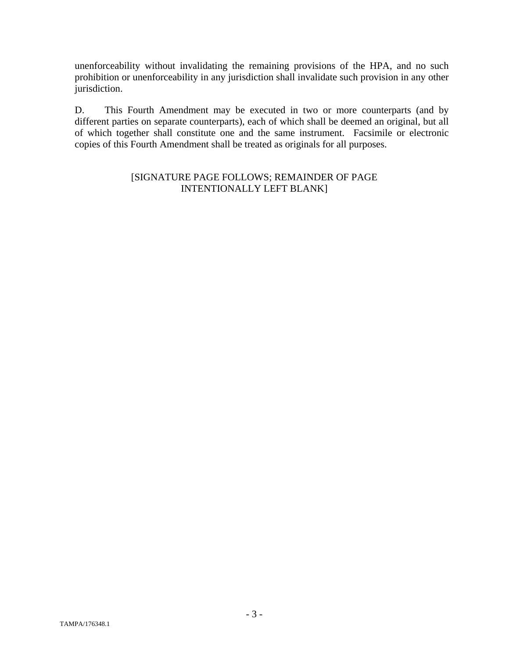unenforceability without invalidating the remaining provisions of the HPA, and no such prohibition or unenforceability in any jurisdiction shall invalidate such provision in any other jurisdiction.

D. This Fourth Amendment may be executed in two or more counterparts (and by different parties on separate counterparts), each of which shall be deemed an original, but all of which together shall constitute one and the same instrument. Facsimile or electronic copies of this Fourth Amendment shall be treated as originals for all purposes.

## [SIGNATURE PAGE FOLLOWS; REMAINDER OF PAGE INTENTIONALLY LEFT BLANK]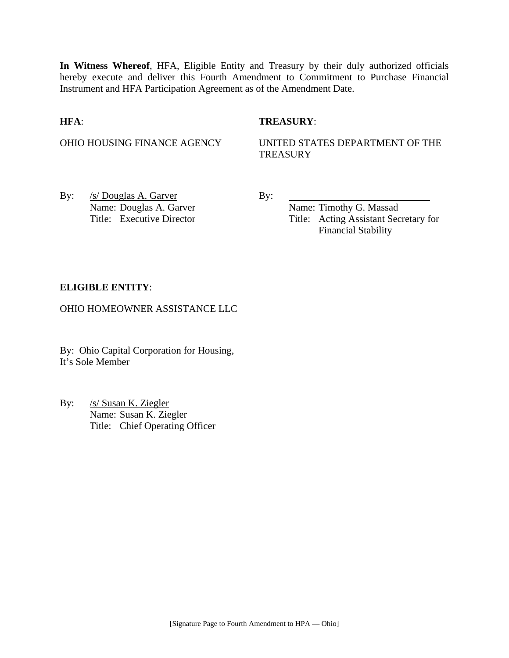**In Witness Whereof**, HFA, Eligible Entity and Treasury by their duly authorized officials hereby execute and deliver this Fourth Amendment to Commitment to Purchase Financial Instrument and HFA Participation Agreement as of the Amendment Date.

#### **HFA**: **TREASURY**:

OHIO HOUSING FINANCE AGENCY UNITED STATES DEPARTMENT OF THE **TREASURY** 

By: <u>/s/ Douglas A. Garver</u> By: Name: Douglas A. Garver Name: Timothy G. Massad

Title: Executive Director Title: Acting Assistant Secretary for Financial Stability

#### **ELIGIBLE ENTITY**:

OHIO HOMEOWNER ASSISTANCE LLC

By: Ohio Capital Corporation for Housing, It's Sole Member

By: /s/ Susan K. Ziegler Name: Susan K. Ziegler Title: Chief Operating Officer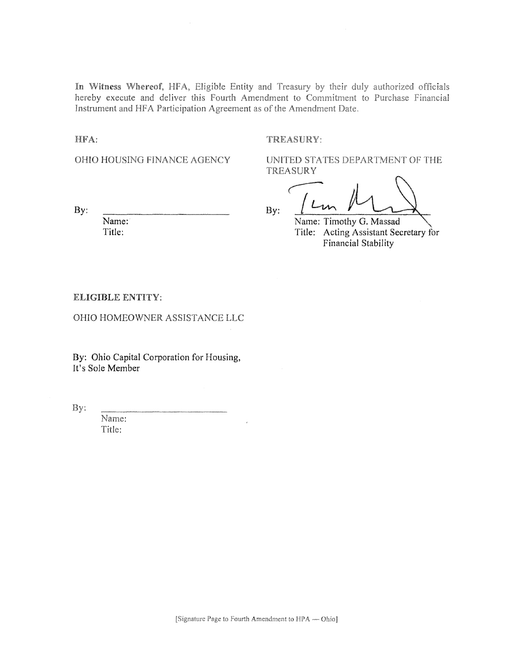In Witness Whereof, HFA, Eligible Entity and Treasury by their duly authorized officials hereby execute and deliver this Fourth Amendment to Commitment to Purchase Financial Instrument and HFA Participation Agreement as of the Amendment Date.

HFA:

TREASURY:

OHIO HOUSING FINANCE AGENCY

UNITED STATES DEPARTMENT OF THE **TREASURY** 

By:

Name: Title:

By:

Name: Timothy G. Massad Title: Acting Assistant Secretary for Financial Stability

ELIGIBLE ENTITY:

OHIO HOMEOWNER ASSISTANCE LLC

By: Ohio Capital Corporation for Housing, It's Sole Member

By:

Name: Title: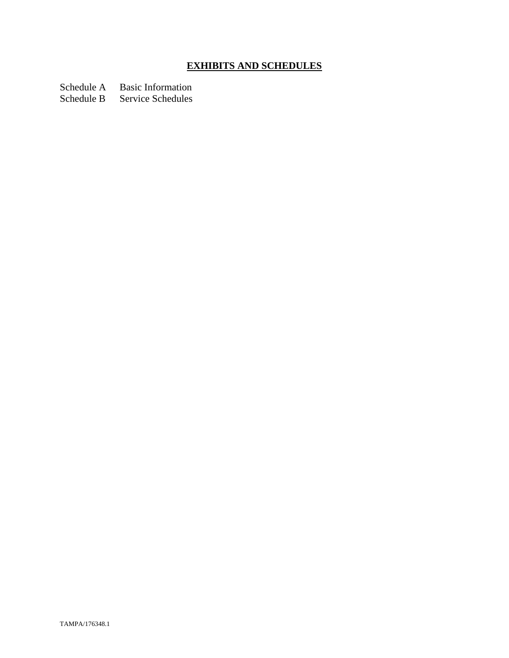# **EXHIBITS AND SCHEDULES**

Schedule A Basic Information<br>Schedule B Service Schedules

Service Schedules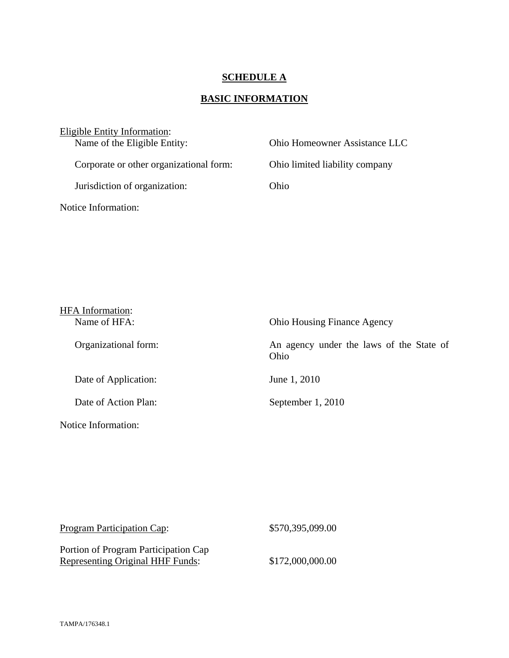## **SCHEDULE A**

# **BASIC INFORMATION**

| Eligible Entity Information:            |                                |  |
|-----------------------------------------|--------------------------------|--|
| Name of the Eligible Entity:            | Ohio Homeowner Assistance LLC  |  |
| Corporate or other organizational form: | Ohio limited liability company |  |
| Jurisdiction of organization:           | Ohio                           |  |
| Notice Information:                     |                                |  |

| <b>HFA</b> Information: |                                                  |
|-------------------------|--------------------------------------------------|
| Name of HFA:            | <b>Ohio Housing Finance Agency</b>               |
| Organizational form:    | An agency under the laws of the State of<br>Ohio |
| Date of Application:    | June 1, 2010                                     |
| Date of Action Plan:    | September 1, 2010                                |
| Notice Information:     |                                                  |

| <b>Program Participation Cap:</b>       | \$570,395,099.00 |
|-----------------------------------------|------------------|
| Portion of Program Participation Cap    |                  |
| <b>Representing Original HHF Funds:</b> | \$172,000,000.00 |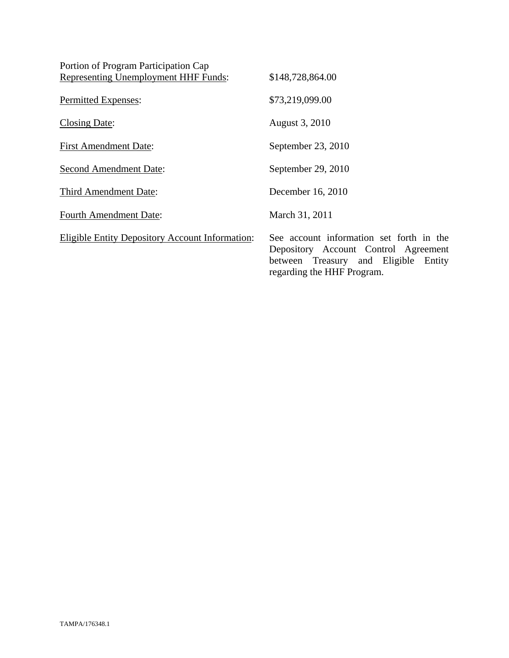| Portion of Program Participation Cap                   |                                                                                                                             |
|--------------------------------------------------------|-----------------------------------------------------------------------------------------------------------------------------|
| Representing Unemployment HHF Funds:                   | \$148,728,864.00                                                                                                            |
| Permitted Expenses:                                    | \$73,219,099.00                                                                                                             |
| <b>Closing Date:</b>                                   | August 3, 2010                                                                                                              |
| <b>First Amendment Date:</b>                           | September 23, 2010                                                                                                          |
| <b>Second Amendment Date:</b>                          | September 29, 2010                                                                                                          |
| Third Amendment Date:                                  | December 16, 2010                                                                                                           |
| <b>Fourth Amendment Date:</b>                          | March 31, 2011                                                                                                              |
| <b>Eligible Entity Depository Account Information:</b> | See account information set forth in the<br>Depository Account Control Agreement<br>between Treasury and Eligible<br>Entity |

regarding the HHF Program.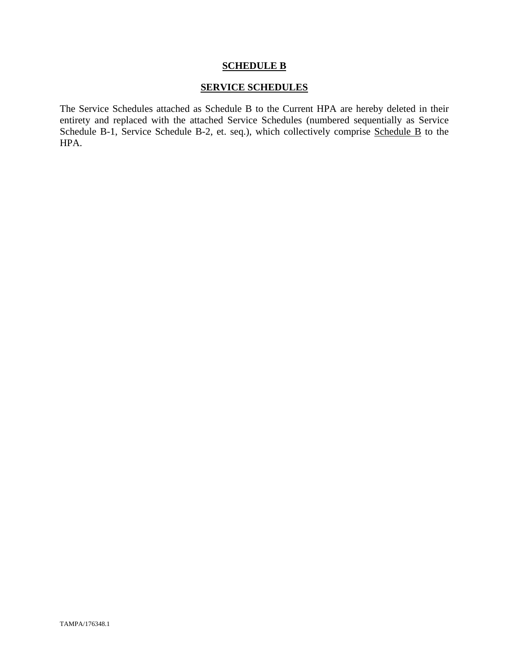#### **SCHEDULE B**

## **SERVICE SCHEDULES**

The Service Schedules attached as Schedule B to the Current HPA are hereby deleted in their entirety and replaced with the attached Service Schedules (numbered sequentially as Service Schedule B-1, Service Schedule B-2, et. seq.), which collectively comprise Schedule B to the HPA.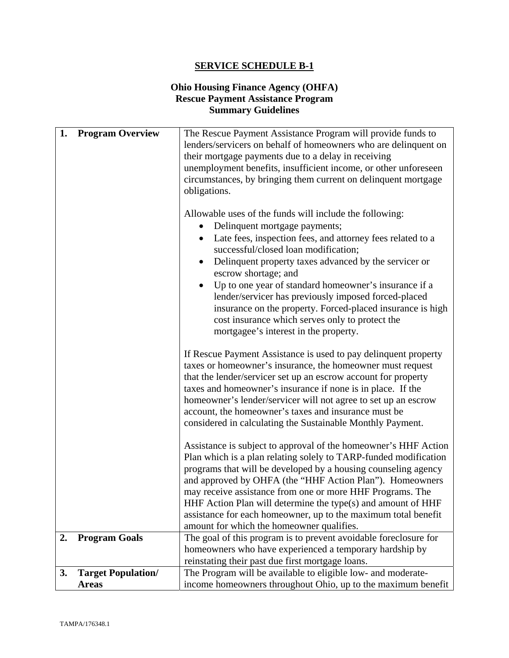## **Ohio Housing Finance Agency (OHFA) Rescue Payment Assistance Program Summary Guidelines**

| 1. | <b>Program Overview</b>   | The Rescue Payment Assistance Program will provide funds to                                                                                                                                                                                                                                                                                                                                                                                                                                                   |
|----|---------------------------|---------------------------------------------------------------------------------------------------------------------------------------------------------------------------------------------------------------------------------------------------------------------------------------------------------------------------------------------------------------------------------------------------------------------------------------------------------------------------------------------------------------|
|    |                           | lenders/servicers on behalf of homeowners who are delinquent on                                                                                                                                                                                                                                                                                                                                                                                                                                               |
|    |                           | their mortgage payments due to a delay in receiving                                                                                                                                                                                                                                                                                                                                                                                                                                                           |
|    |                           | unemployment benefits, insufficient income, or other unforeseen                                                                                                                                                                                                                                                                                                                                                                                                                                               |
|    |                           | circumstances, by bringing them current on delinquent mortgage<br>obligations.                                                                                                                                                                                                                                                                                                                                                                                                                                |
|    |                           |                                                                                                                                                                                                                                                                                                                                                                                                                                                                                                               |
|    |                           | Allowable uses of the funds will include the following:<br>Delinquent mortgage payments;                                                                                                                                                                                                                                                                                                                                                                                                                      |
|    |                           | Late fees, inspection fees, and attorney fees related to a<br>$\bullet$<br>successful/closed loan modification;                                                                                                                                                                                                                                                                                                                                                                                               |
|    |                           | Delinquent property taxes advanced by the servicer or<br>escrow shortage; and                                                                                                                                                                                                                                                                                                                                                                                                                                 |
|    |                           | Up to one year of standard homeowner's insurance if a<br>lender/servicer has previously imposed forced-placed<br>insurance on the property. Forced-placed insurance is high                                                                                                                                                                                                                                                                                                                                   |
|    |                           | cost insurance which serves only to protect the<br>mortgagee's interest in the property.                                                                                                                                                                                                                                                                                                                                                                                                                      |
|    |                           | If Rescue Payment Assistance is used to pay delinquent property<br>taxes or homeowner's insurance, the homeowner must request<br>that the lender/servicer set up an escrow account for property<br>taxes and homeowner's insurance if none is in place. If the<br>homeowner's lender/servicer will not agree to set up an escrow<br>account, the homeowner's taxes and insurance must be<br>considered in calculating the Sustainable Monthly Payment.                                                        |
|    |                           | Assistance is subject to approval of the homeowner's HHF Action<br>Plan which is a plan relating solely to TARP-funded modification<br>programs that will be developed by a housing counseling agency<br>and approved by OHFA (the "HHF Action Plan"). Homeowners<br>may receive assistance from one or more HHF Programs. The<br>HHF Action Plan will determine the type(s) and amount of HHF<br>assistance for each homeowner, up to the maximum total benefit<br>amount for which the homeowner qualifies. |
| 2. | <b>Program Goals</b>      | The goal of this program is to prevent avoidable foreclosure for                                                                                                                                                                                                                                                                                                                                                                                                                                              |
|    |                           | homeowners who have experienced a temporary hardship by                                                                                                                                                                                                                                                                                                                                                                                                                                                       |
|    |                           | reinstating their past due first mortgage loans.                                                                                                                                                                                                                                                                                                                                                                                                                                                              |
| 3. | <b>Target Population/</b> | The Program will be available to eligible low- and moderate-                                                                                                                                                                                                                                                                                                                                                                                                                                                  |
|    | <b>Areas</b>              | income homeowners throughout Ohio, up to the maximum benefit                                                                                                                                                                                                                                                                                                                                                                                                                                                  |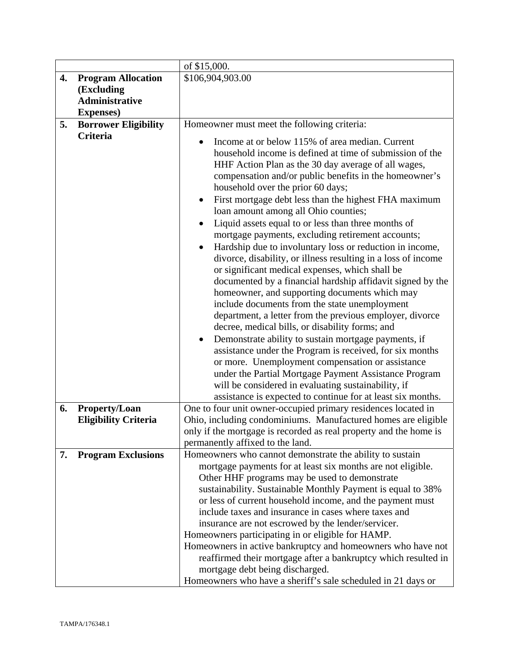|    |                             | of \$15,000.                                                                                                                                                                                                                                                                                                                                                                                                                                                                                                                                                                                                                                                                                                                                                                                                                                                                                                                                                                                                                                                                                                                             |
|----|-----------------------------|------------------------------------------------------------------------------------------------------------------------------------------------------------------------------------------------------------------------------------------------------------------------------------------------------------------------------------------------------------------------------------------------------------------------------------------------------------------------------------------------------------------------------------------------------------------------------------------------------------------------------------------------------------------------------------------------------------------------------------------------------------------------------------------------------------------------------------------------------------------------------------------------------------------------------------------------------------------------------------------------------------------------------------------------------------------------------------------------------------------------------------------|
| 4. | <b>Program Allocation</b>   | \$106,904,903.00                                                                                                                                                                                                                                                                                                                                                                                                                                                                                                                                                                                                                                                                                                                                                                                                                                                                                                                                                                                                                                                                                                                         |
|    | (Excluding                  |                                                                                                                                                                                                                                                                                                                                                                                                                                                                                                                                                                                                                                                                                                                                                                                                                                                                                                                                                                                                                                                                                                                                          |
|    | <b>Administrative</b>       |                                                                                                                                                                                                                                                                                                                                                                                                                                                                                                                                                                                                                                                                                                                                                                                                                                                                                                                                                                                                                                                                                                                                          |
|    | <b>Expenses</b> )           |                                                                                                                                                                                                                                                                                                                                                                                                                                                                                                                                                                                                                                                                                                                                                                                                                                                                                                                                                                                                                                                                                                                                          |
| 5. | <b>Borrower Eligibility</b> | Homeowner must meet the following criteria:                                                                                                                                                                                                                                                                                                                                                                                                                                                                                                                                                                                                                                                                                                                                                                                                                                                                                                                                                                                                                                                                                              |
|    | Criteria                    | Income at or below 115% of area median. Current<br>$\bullet$                                                                                                                                                                                                                                                                                                                                                                                                                                                                                                                                                                                                                                                                                                                                                                                                                                                                                                                                                                                                                                                                             |
|    |                             | household income is defined at time of submission of the<br>HHF Action Plan as the 30 day average of all wages,<br>compensation and/or public benefits in the homeowner's<br>household over the prior 60 days;<br>First mortgage debt less than the highest FHA maximum<br>loan amount among all Ohio counties;<br>Liquid assets equal to or less than three months of<br>mortgage payments, excluding retirement accounts;<br>Hardship due to involuntary loss or reduction in income,<br>$\bullet$<br>divorce, disability, or illness resulting in a loss of income<br>or significant medical expenses, which shall be<br>documented by a financial hardship affidavit signed by the<br>homeowner, and supporting documents which may<br>include documents from the state unemployment<br>department, a letter from the previous employer, divorce<br>decree, medical bills, or disability forms; and<br>Demonstrate ability to sustain mortgage payments, if<br>assistance under the Program is received, for six months<br>or more. Unemployment compensation or assistance<br>under the Partial Mortgage Payment Assistance Program |
|    |                             | will be considered in evaluating sustainability, if                                                                                                                                                                                                                                                                                                                                                                                                                                                                                                                                                                                                                                                                                                                                                                                                                                                                                                                                                                                                                                                                                      |
| 6. | <b>Property/Loan</b>        | assistance is expected to continue for at least six months.<br>One to four unit owner-occupied primary residences located in                                                                                                                                                                                                                                                                                                                                                                                                                                                                                                                                                                                                                                                                                                                                                                                                                                                                                                                                                                                                             |
|    | <b>Eligibility Criteria</b> | Ohio, including condominiums. Manufactured homes are eligible                                                                                                                                                                                                                                                                                                                                                                                                                                                                                                                                                                                                                                                                                                                                                                                                                                                                                                                                                                                                                                                                            |
|    |                             | only if the mortgage is recorded as real property and the home is                                                                                                                                                                                                                                                                                                                                                                                                                                                                                                                                                                                                                                                                                                                                                                                                                                                                                                                                                                                                                                                                        |
|    |                             | permanently affixed to the land.                                                                                                                                                                                                                                                                                                                                                                                                                                                                                                                                                                                                                                                                                                                                                                                                                                                                                                                                                                                                                                                                                                         |
| 7. | <b>Program Exclusions</b>   | Homeowners who cannot demonstrate the ability to sustain                                                                                                                                                                                                                                                                                                                                                                                                                                                                                                                                                                                                                                                                                                                                                                                                                                                                                                                                                                                                                                                                                 |
|    |                             | mortgage payments for at least six months are not eligible.<br>Other HHF programs may be used to demonstrate<br>sustainability. Sustainable Monthly Payment is equal to 38%<br>or less of current household income, and the payment must<br>include taxes and insurance in cases where taxes and<br>insurance are not escrowed by the lender/servicer.<br>Homeowners participating in or eligible for HAMP.<br>Homeowners in active bankruptcy and homeowners who have not<br>reaffirmed their mortgage after a bankruptcy which resulted in<br>mortgage debt being discharged.<br>Homeowners who have a sheriff's sale scheduled in 21 days or                                                                                                                                                                                                                                                                                                                                                                                                                                                                                          |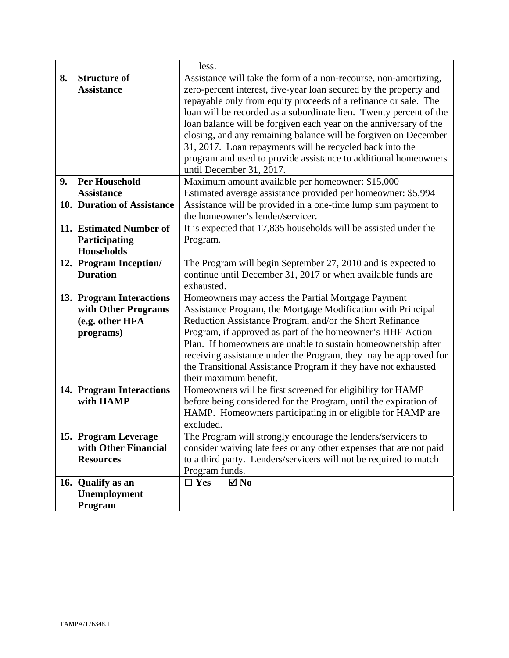|    |                            | less.                                                              |
|----|----------------------------|--------------------------------------------------------------------|
| 8. | <b>Structure of</b>        | Assistance will take the form of a non-recourse, non-amortizing,   |
|    | <b>Assistance</b>          | zero-percent interest, five-year loan secured by the property and  |
|    |                            | repayable only from equity proceeds of a refinance or sale. The    |
|    |                            | loan will be recorded as a subordinate lien. Twenty percent of the |
|    |                            | loan balance will be forgiven each year on the anniversary of the  |
|    |                            | closing, and any remaining balance will be forgiven on December    |
|    |                            | 31, 2017. Loan repayments will be recycled back into the           |
|    |                            | program and used to provide assistance to additional homeowners    |
|    |                            | until December 31, 2017.                                           |
| 9. | <b>Per Household</b>       | Maximum amount available per homeowner: \$15,000                   |
|    | <b>Assistance</b>          | Estimated average assistance provided per homeowner: \$5,994       |
|    | 10. Duration of Assistance | Assistance will be provided in a one-time lump sum payment to      |
|    |                            | the homeowner's lender/servicer.                                   |
|    | 11. Estimated Number of    | It is expected that 17,835 households will be assisted under the   |
|    | Participating              | Program.                                                           |
|    | Households                 |                                                                    |
|    | 12. Program Inception/     | The Program will begin September 27, 2010 and is expected to       |
|    | <b>Duration</b>            | continue until December 31, 2017 or when available funds are       |
|    |                            | exhausted.                                                         |
|    | 13. Program Interactions   | Homeowners may access the Partial Mortgage Payment                 |
|    | with Other Programs        | Assistance Program, the Mortgage Modification with Principal       |
|    | (e.g. other HFA            | Reduction Assistance Program, and/or the Short Refinance           |
|    | programs)                  | Program, if approved as part of the homeowner's HHF Action         |
|    |                            | Plan. If homeowners are unable to sustain homeownership after      |
|    |                            | receiving assistance under the Program, they may be approved for   |
|    |                            | the Transitional Assistance Program if they have not exhausted     |
|    |                            | their maximum benefit.                                             |
|    | 14. Program Interactions   | Homeowners will be first screened for eligibility for HAMP         |
|    | with HAMP                  | before being considered for the Program, until the expiration of   |
|    |                            | HAMP. Homeowners participating in or eligible for HAMP are         |
|    |                            | excluded.                                                          |
|    | 15. Program Leverage       | The Program will strongly encourage the lenders/servicers to       |
|    | with Other Financial       | consider waiving late fees or any other expenses that are not paid |
|    | <b>Resources</b>           | to a third party. Lenders/servicers will not be required to match  |
|    |                            | Program funds.                                                     |
|    | 16. Qualify as an          | $\Box$ Yes<br>$\blacksquare$ No                                    |
|    | Unemployment               |                                                                    |
|    | Program                    |                                                                    |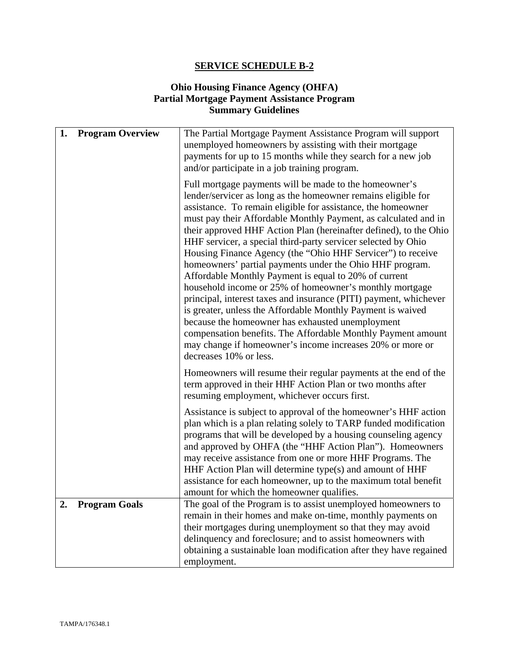## **Ohio Housing Finance Agency (OHFA) Partial Mortgage Payment Assistance Program Summary Guidelines**

| 1. | <b>Program Overview</b> | The Partial Mortgage Payment Assistance Program will support<br>unemployed homeowners by assisting with their mortgage<br>payments for up to 15 months while they search for a new job<br>and/or participate in a job training program.                                                                                                                                                                                                                                                                                                                                                                                                                                                                                                                                                                                                                                                                                                                                                        |
|----|-------------------------|------------------------------------------------------------------------------------------------------------------------------------------------------------------------------------------------------------------------------------------------------------------------------------------------------------------------------------------------------------------------------------------------------------------------------------------------------------------------------------------------------------------------------------------------------------------------------------------------------------------------------------------------------------------------------------------------------------------------------------------------------------------------------------------------------------------------------------------------------------------------------------------------------------------------------------------------------------------------------------------------|
|    |                         | Full mortgage payments will be made to the homeowner's<br>lender/servicer as long as the homeowner remains eligible for<br>assistance. To remain eligible for assistance, the homeowner<br>must pay their Affordable Monthly Payment, as calculated and in<br>their approved HHF Action Plan (hereinafter defined), to the Ohio<br>HHF servicer, a special third-party servicer selected by Ohio<br>Housing Finance Agency (the "Ohio HHF Servicer") to receive<br>homeowners' partial payments under the Ohio HHF program.<br>Affordable Monthly Payment is equal to 20% of current<br>household income or 25% of homeowner's monthly mortgage<br>principal, interest taxes and insurance (PITI) payment, whichever<br>is greater, unless the Affordable Monthly Payment is waived<br>because the homeowner has exhausted unemployment<br>compensation benefits. The Affordable Monthly Payment amount<br>may change if homeowner's income increases 20% or more or<br>decreases 10% or less. |
|    |                         | Homeowners will resume their regular payments at the end of the<br>term approved in their HHF Action Plan or two months after<br>resuming employment, whichever occurs first.                                                                                                                                                                                                                                                                                                                                                                                                                                                                                                                                                                                                                                                                                                                                                                                                                  |
|    |                         | Assistance is subject to approval of the homeowner's HHF action<br>plan which is a plan relating solely to TARP funded modification<br>programs that will be developed by a housing counseling agency<br>and approved by OHFA (the "HHF Action Plan"). Homeowners<br>may receive assistance from one or more HHF Programs. The<br>HHF Action Plan will determine type(s) and amount of HHF<br>assistance for each homeowner, up to the maximum total benefit<br>amount for which the homeowner qualifies.                                                                                                                                                                                                                                                                                                                                                                                                                                                                                      |
| 2. | <b>Program Goals</b>    | The goal of the Program is to assist unemployed homeowners to<br>remain in their homes and make on-time, monthly payments on<br>their mortgages during unemployment so that they may avoid<br>delinquency and foreclosure; and to assist homeowners with<br>obtaining a sustainable loan modification after they have regained<br>employment.                                                                                                                                                                                                                                                                                                                                                                                                                                                                                                                                                                                                                                                  |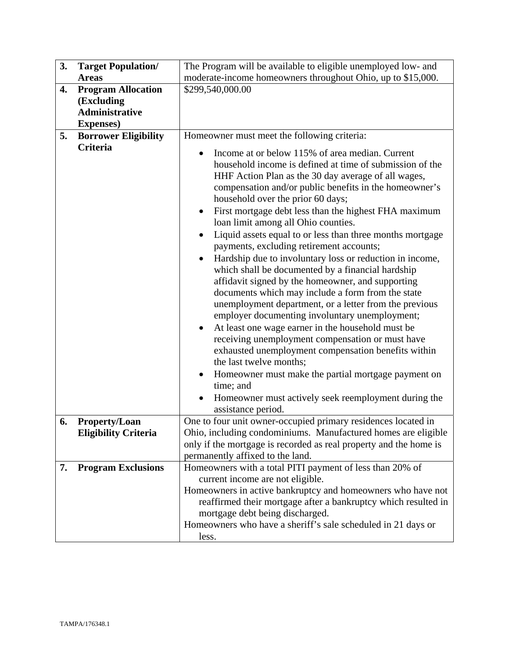| 3. | <b>Target Population/</b>                                                             | The Program will be available to eligible unemployed low- and                                                                                                                                                                                                                                                                                                                                                                                                                                                                                                                                                                                                                                                                                                                                                                                                                                                                                                                                                                                                                                                                                                                                                      |
|----|---------------------------------------------------------------------------------------|--------------------------------------------------------------------------------------------------------------------------------------------------------------------------------------------------------------------------------------------------------------------------------------------------------------------------------------------------------------------------------------------------------------------------------------------------------------------------------------------------------------------------------------------------------------------------------------------------------------------------------------------------------------------------------------------------------------------------------------------------------------------------------------------------------------------------------------------------------------------------------------------------------------------------------------------------------------------------------------------------------------------------------------------------------------------------------------------------------------------------------------------------------------------------------------------------------------------|
|    | <b>Areas</b>                                                                          | moderate-income homeowners throughout Ohio, up to \$15,000.                                                                                                                                                                                                                                                                                                                                                                                                                                                                                                                                                                                                                                                                                                                                                                                                                                                                                                                                                                                                                                                                                                                                                        |
| 4. | <b>Program Allocation</b><br>(Excluding<br><b>Administrative</b><br><b>Expenses</b> ) | \$299,540,000.00                                                                                                                                                                                                                                                                                                                                                                                                                                                                                                                                                                                                                                                                                                                                                                                                                                                                                                                                                                                                                                                                                                                                                                                                   |
| 5. | <b>Borrower Eligibility</b>                                                           | Homeowner must meet the following criteria:                                                                                                                                                                                                                                                                                                                                                                                                                                                                                                                                                                                                                                                                                                                                                                                                                                                                                                                                                                                                                                                                                                                                                                        |
|    | Criteria                                                                              | Income at or below 115% of area median. Current<br>$\bullet$<br>household income is defined at time of submission of the<br>HHF Action Plan as the 30 day average of all wages,<br>compensation and/or public benefits in the homeowner's<br>household over the prior 60 days;<br>First mortgage debt less than the highest FHA maximum<br>$\bullet$<br>loan limit among all Ohio counties.<br>Liquid assets equal to or less than three months mortgage<br>$\bullet$<br>payments, excluding retirement accounts;<br>Hardship due to involuntary loss or reduction in income,<br>which shall be documented by a financial hardship<br>affidavit signed by the homeowner, and supporting<br>documents which may include a form from the state<br>unemployment department, or a letter from the previous<br>employer documenting involuntary unemployment;<br>At least one wage earner in the household must be<br>receiving unemployment compensation or must have<br>exhausted unemployment compensation benefits within<br>the last twelve months;<br>Homeowner must make the partial mortgage payment on<br>$\bullet$<br>time; and<br>Homeowner must actively seek reemployment during the<br>assistance period. |
| 6. | Property/Loan                                                                         | One to four unit owner-occupied primary residences located in                                                                                                                                                                                                                                                                                                                                                                                                                                                                                                                                                                                                                                                                                                                                                                                                                                                                                                                                                                                                                                                                                                                                                      |
|    | <b>Eligibility Criteria</b>                                                           | Ohio, including condominiums. Manufactured homes are eligible<br>only if the mortgage is recorded as real property and the home is<br>permanently affixed to the land.                                                                                                                                                                                                                                                                                                                                                                                                                                                                                                                                                                                                                                                                                                                                                                                                                                                                                                                                                                                                                                             |
| 7. | <b>Program Exclusions</b>                                                             | Homeowners with a total PITI payment of less than 20% of<br>current income are not eligible.<br>Homeowners in active bankruptcy and homeowners who have not<br>reaffirmed their mortgage after a bankruptcy which resulted in<br>mortgage debt being discharged.<br>Homeowners who have a sheriff's sale scheduled in 21 days or<br>less.                                                                                                                                                                                                                                                                                                                                                                                                                                                                                                                                                                                                                                                                                                                                                                                                                                                                          |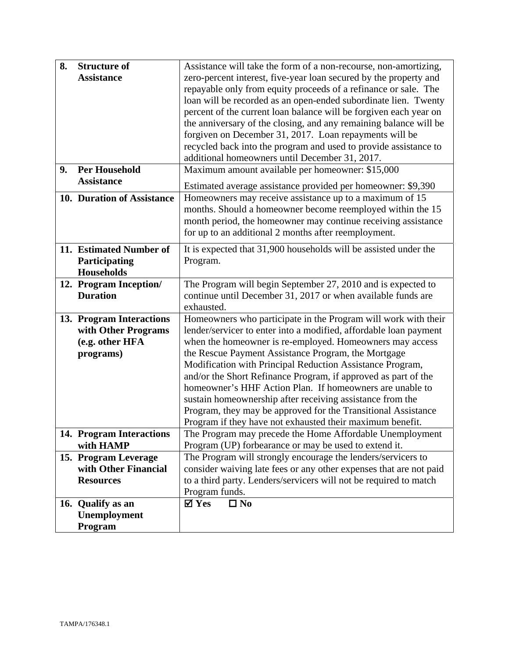| 8. | <b>Structure of</b>        | Assistance will take the form of a non-recourse, non-amortizing,                                                           |
|----|----------------------------|----------------------------------------------------------------------------------------------------------------------------|
|    | <b>Assistance</b>          | zero-percent interest, five-year loan secured by the property and                                                          |
|    |                            | repayable only from equity proceeds of a refinance or sale. The                                                            |
|    |                            | loan will be recorded as an open-ended subordinate lien. Twenty                                                            |
|    |                            | percent of the current loan balance will be forgiven each year on                                                          |
|    |                            | the anniversary of the closing, and any remaining balance will be                                                          |
|    |                            | forgiven on December 31, 2017. Loan repayments will be                                                                     |
|    |                            | recycled back into the program and used to provide assistance to                                                           |
|    |                            | additional homeowners until December 31, 2017.                                                                             |
| 9. | <b>Per Household</b>       | Maximum amount available per homeowner: \$15,000                                                                           |
|    | <b>Assistance</b>          | Estimated average assistance provided per homeowner: \$9,390                                                               |
|    | 10. Duration of Assistance | Homeowners may receive assistance up to a maximum of 15                                                                    |
|    |                            | months. Should a homeowner become reemployed within the 15                                                                 |
|    |                            | month period, the homeowner may continue receiving assistance                                                              |
|    |                            | for up to an additional 2 months after reemployment.                                                                       |
|    |                            |                                                                                                                            |
|    | 11. Estimated Number of    | It is expected that 31,900 households will be assisted under the                                                           |
|    | Participating              | Program.                                                                                                                   |
|    | <b>Households</b>          |                                                                                                                            |
|    | 12. Program Inception/     | The Program will begin September 27, 2010 and is expected to                                                               |
|    | <b>Duration</b>            | continue until December 31, 2017 or when available funds are                                                               |
|    |                            | exhausted.                                                                                                                 |
|    | 13. Program Interactions   | Homeowners who participate in the Program will work with their                                                             |
|    | with Other Programs        | lender/servicer to enter into a modified, affordable loan payment                                                          |
|    | (e.g. other HFA            | when the homeowner is re-employed. Homeowners may access                                                                   |
|    | programs)                  | the Rescue Payment Assistance Program, the Mortgage                                                                        |
|    |                            | Modification with Principal Reduction Assistance Program,                                                                  |
|    |                            | and/or the Short Refinance Program, if approved as part of the                                                             |
|    |                            | homeowner's HHF Action Plan. If homeowners are unable to                                                                   |
|    |                            | sustain homeownership after receiving assistance from the                                                                  |
|    |                            | Program, they may be approved for the Transitional Assistance<br>Program if they have not exhausted their maximum benefit. |
|    | 14. Program Interactions   | The Program may precede the Home Affordable Unemployment                                                                   |
|    | with HAMP                  | Program (UP) forbearance or may be used to extend it.                                                                      |
|    | 15. Program Leverage       | The Program will strongly encourage the lenders/servicers to                                                               |
|    | with Other Financial       | consider waiving late fees or any other expenses that are not paid                                                         |
|    | <b>Resources</b>           | to a third party. Lenders/servicers will not be required to match                                                          |
|    |                            | Program funds.                                                                                                             |
|    | 16. Qualify as an          | $\boldsymbol{\nabla}$ Yes<br>$\Box$ No                                                                                     |
|    | Unemployment               |                                                                                                                            |
|    | Program                    |                                                                                                                            |
|    |                            |                                                                                                                            |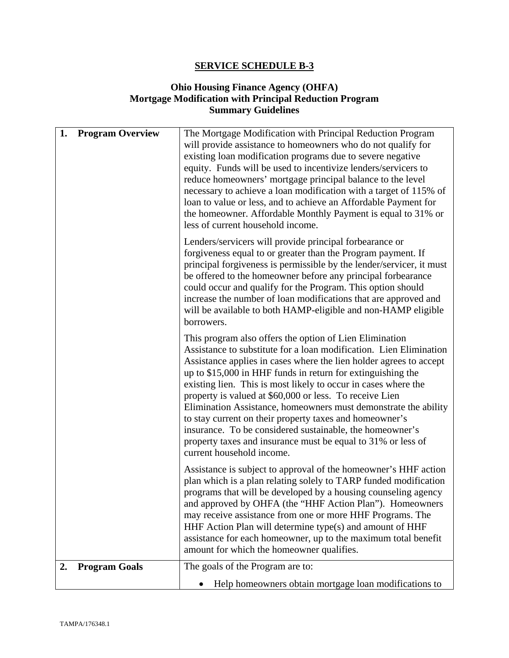## **Ohio Housing Finance Agency (OHFA) Mortgage Modification with Principal Reduction Program Summary Guidelines**

| 1.<br><b>Program Overview</b> | The Mortgage Modification with Principal Reduction Program<br>will provide assistance to homeowners who do not qualify for<br>existing loan modification programs due to severe negative<br>equity. Funds will be used to incentivize lenders/servicers to<br>reduce homeowners' mortgage principal balance to the level<br>necessary to achieve a loan modification with a target of 115% of<br>loan to value or less, and to achieve an Affordable Payment for<br>the homeowner. Affordable Monthly Payment is equal to 31% or<br>less of current household income.                                                                                                                  |
|-------------------------------|----------------------------------------------------------------------------------------------------------------------------------------------------------------------------------------------------------------------------------------------------------------------------------------------------------------------------------------------------------------------------------------------------------------------------------------------------------------------------------------------------------------------------------------------------------------------------------------------------------------------------------------------------------------------------------------|
|                               | Lenders/servicers will provide principal forbearance or<br>forgiveness equal to or greater than the Program payment. If<br>principal forgiveness is permissible by the lender/servicer, it must<br>be offered to the homeowner before any principal forbearance<br>could occur and qualify for the Program. This option should<br>increase the number of loan modifications that are approved and<br>will be available to both HAMP-eligible and non-HAMP eligible<br>borrowers.                                                                                                                                                                                                       |
|                               | This program also offers the option of Lien Elimination<br>Assistance to substitute for a loan modification. Lien Elimination<br>Assistance applies in cases where the lien holder agrees to accept<br>up to \$15,000 in HHF funds in return for extinguishing the<br>existing lien. This is most likely to occur in cases where the<br>property is valued at \$60,000 or less. To receive Lien<br>Elimination Assistance, homeowners must demonstrate the ability<br>to stay current on their property taxes and homeowner's<br>insurance. To be considered sustainable, the homeowner's<br>property taxes and insurance must be equal to 31% or less of<br>current household income. |
|                               | Assistance is subject to approval of the homeowner's HHF action<br>plan which is a plan relating solely to TARP funded modification<br>programs that will be developed by a housing counseling agency<br>and approved by OHFA (the "HHF Action Plan"). Homeowners<br>may receive assistance from one or more HHF Programs. The<br>HHF Action Plan will determine type(s) and amount of HHF<br>assistance for each homeowner, up to the maximum total benefit<br>amount for which the homeowner qualifies.                                                                                                                                                                              |
| <b>Program Goals</b><br>2.    | The goals of the Program are to:<br>Help homeowners obtain mortgage loan modifications to                                                                                                                                                                                                                                                                                                                                                                                                                                                                                                                                                                                              |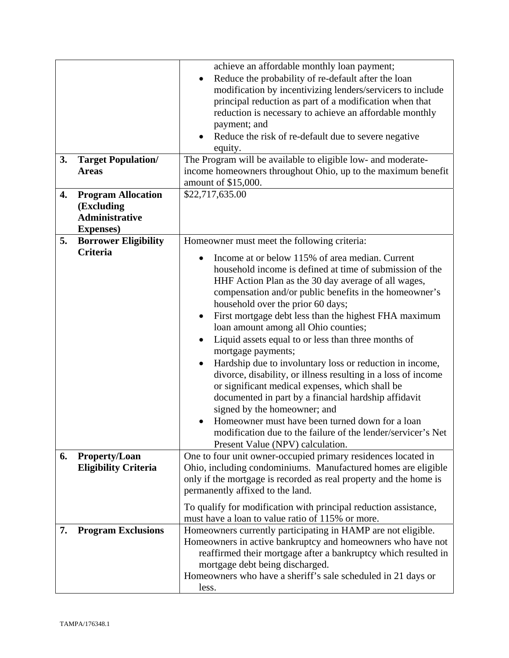| 3. | <b>Target Population/</b><br><b>Areas</b>                                             | achieve an affordable monthly loan payment;<br>Reduce the probability of re-default after the loan<br>modification by incentivizing lenders/servicers to include<br>principal reduction as part of a modification when that<br>reduction is necessary to achieve an affordable monthly<br>payment; and<br>Reduce the risk of re-default due to severe negative<br>equity.<br>The Program will be available to eligible low- and moderate-<br>income homeowners throughout Ohio, up to the maximum benefit<br>amount of \$15,000.                                                                                                                                                                                                                                                                                                                                                                                                           |
|----|---------------------------------------------------------------------------------------|--------------------------------------------------------------------------------------------------------------------------------------------------------------------------------------------------------------------------------------------------------------------------------------------------------------------------------------------------------------------------------------------------------------------------------------------------------------------------------------------------------------------------------------------------------------------------------------------------------------------------------------------------------------------------------------------------------------------------------------------------------------------------------------------------------------------------------------------------------------------------------------------------------------------------------------------|
| 4. | <b>Program Allocation</b><br>(Excluding<br><b>Administrative</b><br><b>Expenses</b> ) | \$22,717,635.00                                                                                                                                                                                                                                                                                                                                                                                                                                                                                                                                                                                                                                                                                                                                                                                                                                                                                                                            |
| 5. | <b>Borrower Eligibility</b><br>Criteria                                               | Homeowner must meet the following criteria:<br>Income at or below 115% of area median. Current<br>household income is defined at time of submission of the<br>HHF Action Plan as the 30 day average of all wages,<br>compensation and/or public benefits in the homeowner's<br>household over the prior 60 days;<br>First mortgage debt less than the highest FHA maximum<br>$\bullet$<br>loan amount among all Ohio counties;<br>Liquid assets equal to or less than three months of<br>mortgage payments;<br>Hardship due to involuntary loss or reduction in income,<br>divorce, disability, or illness resulting in a loss of income<br>or significant medical expenses, which shall be<br>documented in part by a financial hardship affidavit<br>signed by the homeowner; and<br>Homeowner must have been turned down for a loan<br>modification due to the failure of the lender/servicer's Net<br>Present Value (NPV) calculation. |
| 6. | <b>Property/Loan</b><br><b>Eligibility Criteria</b>                                   | One to four unit owner-occupied primary residences located in<br>Ohio, including condominiums. Manufactured homes are eligible<br>only if the mortgage is recorded as real property and the home is<br>permanently affixed to the land.<br>To qualify for modification with principal reduction assistance,                                                                                                                                                                                                                                                                                                                                                                                                                                                                                                                                                                                                                                |
| 7. | <b>Program Exclusions</b>                                                             | must have a loan to value ratio of 115% or more.<br>Homeowners currently participating in HAMP are not eligible.<br>Homeowners in active bankruptcy and homeowners who have not<br>reaffirmed their mortgage after a bankruptcy which resulted in<br>mortgage debt being discharged.<br>Homeowners who have a sheriff's sale scheduled in 21 days or<br>less.                                                                                                                                                                                                                                                                                                                                                                                                                                                                                                                                                                              |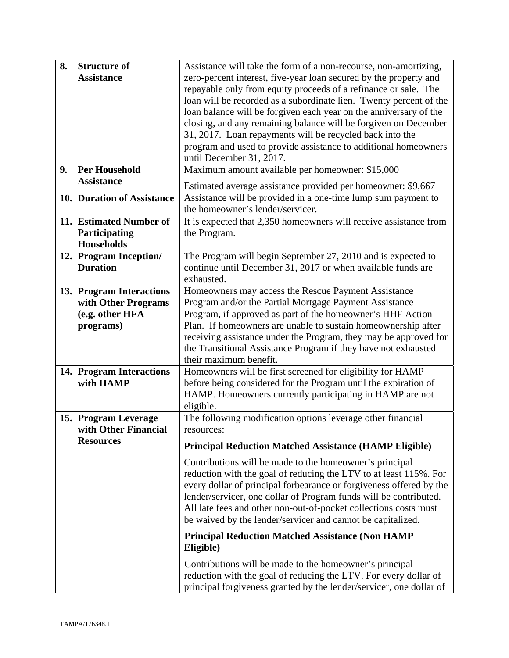| 8. | <b>Structure of</b>        | Assistance will take the form of a non-recourse, non-amortizing,    |
|----|----------------------------|---------------------------------------------------------------------|
|    | <b>Assistance</b>          | zero-percent interest, five-year loan secured by the property and   |
|    |                            | repayable only from equity proceeds of a refinance or sale. The     |
|    |                            | loan will be recorded as a subordinate lien. Twenty percent of the  |
|    |                            | loan balance will be forgiven each year on the anniversary of the   |
|    |                            | closing, and any remaining balance will be forgiven on December     |
|    |                            | 31, 2017. Loan repayments will be recycled back into the            |
|    |                            | program and used to provide assistance to additional homeowners     |
|    |                            | until December 31, 2017.                                            |
| 9. | <b>Per Household</b>       | Maximum amount available per homeowner: \$15,000                    |
|    | <b>Assistance</b>          | Estimated average assistance provided per homeowner: \$9,667        |
|    | 10. Duration of Assistance | Assistance will be provided in a one-time lump sum payment to       |
|    |                            | the homeowner's lender/servicer.                                    |
|    | 11. Estimated Number of    | It is expected that 2,350 homeowners will receive assistance from   |
|    | Participating              | the Program.                                                        |
|    | <b>Households</b>          |                                                                     |
|    | 12. Program Inception/     | The Program will begin September 27, 2010 and is expected to        |
|    | <b>Duration</b>            | continue until December 31, 2017 or when available funds are        |
|    |                            | exhausted.                                                          |
|    | 13. Program Interactions   | Homeowners may access the Rescue Payment Assistance                 |
|    | with Other Programs        | Program and/or the Partial Mortgage Payment Assistance              |
|    | (e.g. other HFA            | Program, if approved as part of the homeowner's HHF Action          |
|    | programs)                  | Plan. If homeowners are unable to sustain homeownership after       |
|    |                            | receiving assistance under the Program, they may be approved for    |
|    |                            | the Transitional Assistance Program if they have not exhausted      |
|    |                            | their maximum benefit.                                              |
|    | 14. Program Interactions   | Homeowners will be first screened for eligibility for HAMP          |
|    | with HAMP                  | before being considered for the Program until the expiration of     |
|    |                            | HAMP. Homeowners currently participating in HAMP are not            |
|    |                            | eligible.                                                           |
|    | 15. Program Leverage       | The following modification options leverage other financial         |
|    | with Other Financial       | resources:                                                          |
|    | <b>Resources</b>           | <b>Principal Reduction Matched Assistance (HAMP Eligible)</b>       |
|    |                            | Contributions will be made to the homeowner's principal             |
|    |                            | reduction with the goal of reducing the LTV to at least 115%. For   |
|    |                            | every dollar of principal forbearance or forgiveness offered by the |
|    |                            | lender/servicer, one dollar of Program funds will be contributed.   |
|    |                            | All late fees and other non-out-of-pocket collections costs must    |
|    |                            | be waived by the lender/servicer and cannot be capitalized.         |
|    |                            | <b>Principal Reduction Matched Assistance (Non HAMP</b>             |
|    |                            | Eligible)                                                           |
|    |                            | Contributions will be made to the homeowner's principal             |
|    |                            | reduction with the goal of reducing the LTV. For every dollar of    |
|    |                            | principal forgiveness granted by the lender/servicer, one dollar of |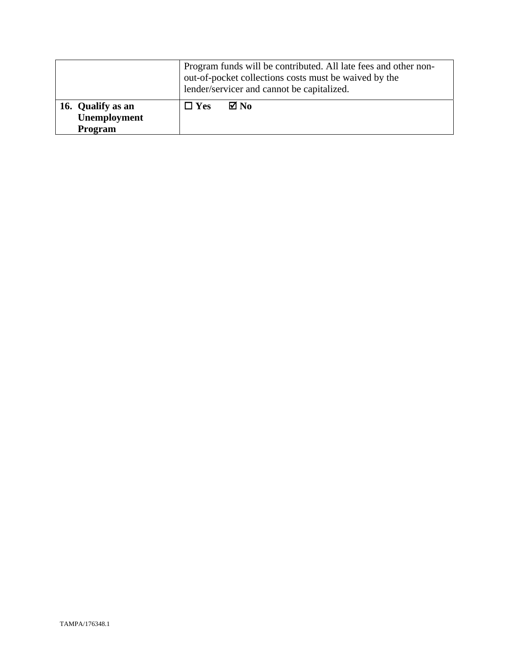|                                              | Program funds will be contributed. All late fees and other non-<br>out-of-pocket collections costs must be waived by the<br>lender/servicer and cannot be capitalized. |
|----------------------------------------------|------------------------------------------------------------------------------------------------------------------------------------------------------------------------|
| 16. Qualify as an<br>Unemployment<br>Program | ⊠ No<br>$\Box$ Yes                                                                                                                                                     |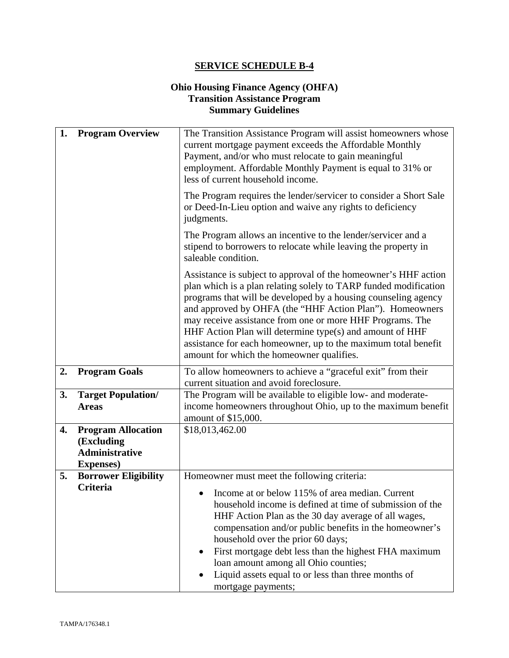## **Ohio Housing Finance Agency (OHFA) Transition Assistance Program Summary Guidelines**

| 1. | <b>Program Overview</b>                        | The Transition Assistance Program will assist homeowners whose<br>current mortgage payment exceeds the Affordable Monthly<br>Payment, and/or who must relocate to gain meaningful<br>employment. Affordable Monthly Payment is equal to 31% or<br>less of current household income.                                                                                                                                                                                                                       |
|----|------------------------------------------------|-----------------------------------------------------------------------------------------------------------------------------------------------------------------------------------------------------------------------------------------------------------------------------------------------------------------------------------------------------------------------------------------------------------------------------------------------------------------------------------------------------------|
|    |                                                | The Program requires the lender/servicer to consider a Short Sale<br>or Deed-In-Lieu option and waive any rights to deficiency<br>judgments.                                                                                                                                                                                                                                                                                                                                                              |
|    |                                                | The Program allows an incentive to the lender/servicer and a<br>stipend to borrowers to relocate while leaving the property in<br>saleable condition.                                                                                                                                                                                                                                                                                                                                                     |
|    |                                                | Assistance is subject to approval of the homeowner's HHF action<br>plan which is a plan relating solely to TARP funded modification<br>programs that will be developed by a housing counseling agency<br>and approved by OHFA (the "HHF Action Plan"). Homeowners<br>may receive assistance from one or more HHF Programs. The<br>HHF Action Plan will determine type(s) and amount of HHF<br>assistance for each homeowner, up to the maximum total benefit<br>amount for which the homeowner qualifies. |
| 2. | <b>Program Goals</b>                           | To allow homeowners to achieve a "graceful exit" from their<br>current situation and avoid foreclosure.                                                                                                                                                                                                                                                                                                                                                                                                   |
| 3. | <b>Target Population/</b>                      | The Program will be available to eligible low- and moderate-                                                                                                                                                                                                                                                                                                                                                                                                                                              |
|    | <b>Areas</b>                                   | income homeowners throughout Ohio, up to the maximum benefit<br>amount of \$15,000.                                                                                                                                                                                                                                                                                                                                                                                                                       |
| 4. | <b>Program Allocation</b>                      | \$18,013,462.00                                                                                                                                                                                                                                                                                                                                                                                                                                                                                           |
|    | (Excluding<br><b>Administrative</b>            |                                                                                                                                                                                                                                                                                                                                                                                                                                                                                                           |
|    | <b>Expenses</b> )                              |                                                                                                                                                                                                                                                                                                                                                                                                                                                                                                           |
| 5. | <b>Borrower Eligibility</b><br><b>Criteria</b> | Homeowner must meet the following criteria:                                                                                                                                                                                                                                                                                                                                                                                                                                                               |
|    |                                                | Income at or below 115% of area median. Current                                                                                                                                                                                                                                                                                                                                                                                                                                                           |
|    |                                                | household income is defined at time of submission of the<br>HHF Action Plan as the 30 day average of all wages,                                                                                                                                                                                                                                                                                                                                                                                           |
|    |                                                | compensation and/or public benefits in the homeowner's                                                                                                                                                                                                                                                                                                                                                                                                                                                    |
|    |                                                | household over the prior 60 days;                                                                                                                                                                                                                                                                                                                                                                                                                                                                         |
|    |                                                | First mortgage debt less than the highest FHA maximum<br>loan amount among all Ohio counties;                                                                                                                                                                                                                                                                                                                                                                                                             |
|    |                                                | Liquid assets equal to or less than three months of                                                                                                                                                                                                                                                                                                                                                                                                                                                       |
|    |                                                | mortgage payments;                                                                                                                                                                                                                                                                                                                                                                                                                                                                                        |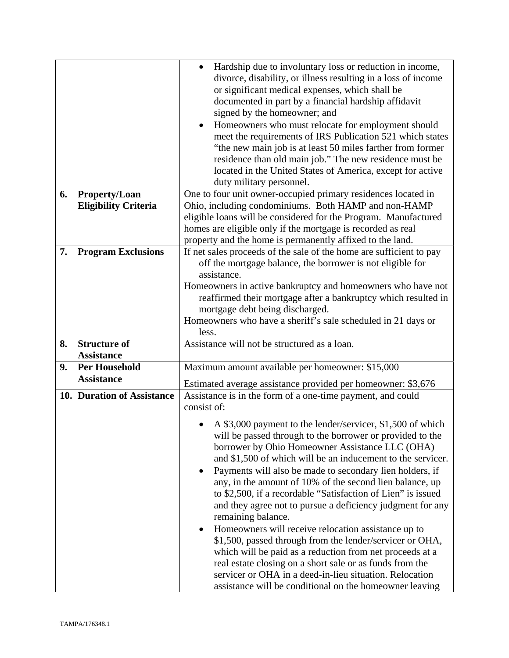|    |                             | Hardship due to involuntary loss or reduction in income,<br>divorce, disability, or illness resulting in a loss of income<br>or significant medical expenses, which shall be<br>documented in part by a financial hardship affidavit<br>signed by the homeowner; and<br>Homeowners who must relocate for employment should<br>$\bullet$<br>meet the requirements of IRS Publication 521 which states<br>"the new main job is at least 50 miles farther from former<br>residence than old main job." The new residence must be<br>located in the United States of America, except for active<br>duty military personnel. |
|----|-----------------------------|-------------------------------------------------------------------------------------------------------------------------------------------------------------------------------------------------------------------------------------------------------------------------------------------------------------------------------------------------------------------------------------------------------------------------------------------------------------------------------------------------------------------------------------------------------------------------------------------------------------------------|
| 6. | <b>Property/Loan</b>        | One to four unit owner-occupied primary residences located in                                                                                                                                                                                                                                                                                                                                                                                                                                                                                                                                                           |
|    | <b>Eligibility Criteria</b> | Ohio, including condominiums. Both HAMP and non-HAMP                                                                                                                                                                                                                                                                                                                                                                                                                                                                                                                                                                    |
|    |                             | eligible loans will be considered for the Program. Manufactured                                                                                                                                                                                                                                                                                                                                                                                                                                                                                                                                                         |
|    |                             | homes are eligible only if the mortgage is recorded as real                                                                                                                                                                                                                                                                                                                                                                                                                                                                                                                                                             |
|    |                             | property and the home is permanently affixed to the land.                                                                                                                                                                                                                                                                                                                                                                                                                                                                                                                                                               |
| 7. | <b>Program Exclusions</b>   | If net sales proceeds of the sale of the home are sufficient to pay<br>off the mortgage balance, the borrower is not eligible for                                                                                                                                                                                                                                                                                                                                                                                                                                                                                       |
|    |                             | assistance.                                                                                                                                                                                                                                                                                                                                                                                                                                                                                                                                                                                                             |
|    |                             | Homeowners in active bankruptcy and homeowners who have not                                                                                                                                                                                                                                                                                                                                                                                                                                                                                                                                                             |
|    |                             | reaffirmed their mortgage after a bankruptcy which resulted in                                                                                                                                                                                                                                                                                                                                                                                                                                                                                                                                                          |
|    |                             | mortgage debt being discharged.                                                                                                                                                                                                                                                                                                                                                                                                                                                                                                                                                                                         |
|    |                             | Homeowners who have a sheriff's sale scheduled in 21 days or                                                                                                                                                                                                                                                                                                                                                                                                                                                                                                                                                            |
|    |                             | less.                                                                                                                                                                                                                                                                                                                                                                                                                                                                                                                                                                                                                   |
| 8. | <b>Structure of</b>         | Assistance will not be structured as a loan.                                                                                                                                                                                                                                                                                                                                                                                                                                                                                                                                                                            |
|    | <b>Assistance</b>           |                                                                                                                                                                                                                                                                                                                                                                                                                                                                                                                                                                                                                         |
| 9. | <b>Per Household</b>        | Maximum amount available per homeowner: \$15,000                                                                                                                                                                                                                                                                                                                                                                                                                                                                                                                                                                        |
|    | <b>Assistance</b>           | Estimated average assistance provided per homeowner: \$3,676                                                                                                                                                                                                                                                                                                                                                                                                                                                                                                                                                            |
|    | 10. Duration of Assistance  | Assistance is in the form of a one-time payment, and could                                                                                                                                                                                                                                                                                                                                                                                                                                                                                                                                                              |
|    |                             | consist of:                                                                                                                                                                                                                                                                                                                                                                                                                                                                                                                                                                                                             |
|    |                             | A \$3,000 payment to the lender/servicer, \$1,500 of which<br>will be passed through to the borrower or provided to the<br>borrower by Ohio Homeowner Assistance LLC (OHA)<br>and \$1,500 of which will be an inducement to the servicer.<br>Payments will also be made to secondary lien holders, if<br>$\bullet$<br>any, in the amount of 10% of the second lien balance, up<br>to \$2,500, if a recordable "Satisfaction of Lien" is issued<br>and they agree not to pursue a deficiency judgment for any<br>remaining balance.<br>Homeowners will receive relocation assistance up to<br>٠                          |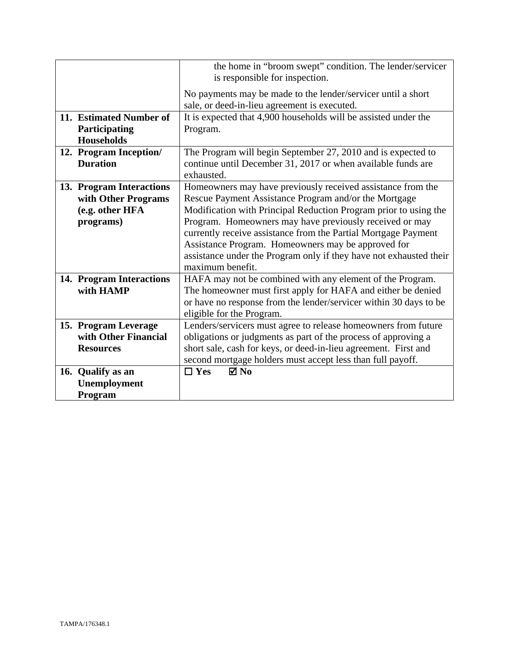|                                                               | the home in "broom swept" condition. The lender/servicer<br>is responsible for inspection.                                                 |
|---------------------------------------------------------------|--------------------------------------------------------------------------------------------------------------------------------------------|
|                                                               | No payments may be made to the lender/servicer until a short<br>sale, or deed-in-lieu agreement is executed.                               |
| 11. Estimated Number of<br>Participating<br><b>Households</b> | It is expected that 4,900 households will be assisted under the<br>Program.                                                                |
| 12. Program Inception/<br><b>Duration</b>                     | The Program will begin September 27, 2010 and is expected to<br>continue until December 31, 2017 or when available funds are<br>exhausted. |
| 13. Program Interactions<br>with Other Programs               | Homeowners may have previously received assistance from the<br>Rescue Payment Assistance Program and/or the Mortgage                       |
| (e.g. other HFA                                               | Modification with Principal Reduction Program prior to using the<br>Program. Homeowners may have previously received or may                |
| programs)                                                     | currently receive assistance from the Partial Mortgage Payment                                                                             |
|                                                               | Assistance Program. Homeowners may be approved for                                                                                         |
|                                                               | assistance under the Program only if they have not exhausted their<br>maximum benefit.                                                     |
| 14. Program Interactions                                      | HAFA may not be combined with any element of the Program.                                                                                  |
| with HAMP                                                     | The homeowner must first apply for HAFA and either be denied                                                                               |
|                                                               | or have no response from the lender/servicer within 30 days to be<br>eligible for the Program.                                             |
| 15. Program Leverage                                          | Lenders/servicers must agree to release homeowners from future                                                                             |
| with Other Financial                                          | obligations or judgments as part of the process of approving a                                                                             |
| <b>Resources</b>                                              | short sale, cash for keys, or deed-in-lieu agreement. First and                                                                            |
|                                                               | second mortgage holders must accept less than full payoff.                                                                                 |
| 16. Qualify as an                                             | $\boxtimes$ No<br>$\Box$ Yes                                                                                                               |
| Unemployment<br>Program                                       |                                                                                                                                            |
|                                                               |                                                                                                                                            |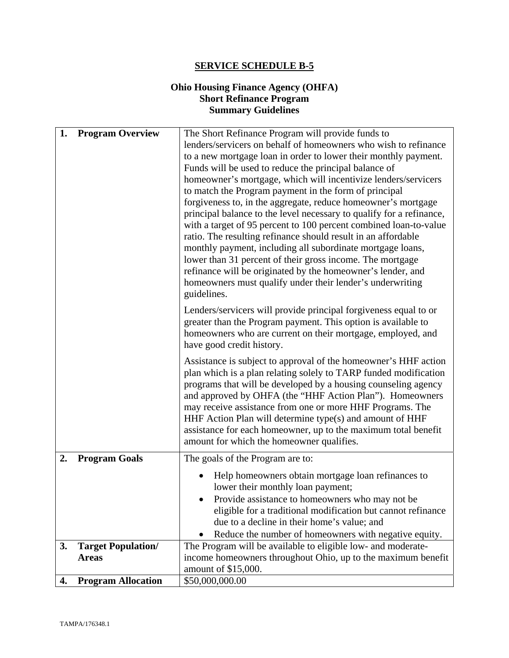## **Ohio Housing Finance Agency (OHFA) Short Refinance Program Summary Guidelines**

| 1. | <b>Program Overview</b>                   | The Short Refinance Program will provide funds to<br>lenders/servicers on behalf of homeowners who wish to refinance<br>to a new mortgage loan in order to lower their monthly payment.<br>Funds will be used to reduce the principal balance of<br>homeowner's mortgage, which will incentivize lenders/servicers<br>to match the Program payment in the form of principal<br>forgiveness to, in the aggregate, reduce homeowner's mortgage<br>principal balance to the level necessary to qualify for a refinance,<br>with a target of 95 percent to 100 percent combined loan-to-value<br>ratio. The resulting refinance should result in an affordable<br>monthly payment, including all subordinate mortgage loans, |
|----|-------------------------------------------|--------------------------------------------------------------------------------------------------------------------------------------------------------------------------------------------------------------------------------------------------------------------------------------------------------------------------------------------------------------------------------------------------------------------------------------------------------------------------------------------------------------------------------------------------------------------------------------------------------------------------------------------------------------------------------------------------------------------------|
|    |                                           | lower than 31 percent of their gross income. The mortgage<br>refinance will be originated by the homeowner's lender, and<br>homeowners must qualify under their lender's underwriting<br>guidelines.                                                                                                                                                                                                                                                                                                                                                                                                                                                                                                                     |
|    |                                           | Lenders/servicers will provide principal forgiveness equal to or<br>greater than the Program payment. This option is available to<br>homeowners who are current on their mortgage, employed, and<br>have good credit history.                                                                                                                                                                                                                                                                                                                                                                                                                                                                                            |
|    |                                           | Assistance is subject to approval of the homeowner's HHF action<br>plan which is a plan relating solely to TARP funded modification<br>programs that will be developed by a housing counseling agency<br>and approved by OHFA (the "HHF Action Plan"). Homeowners<br>may receive assistance from one or more HHF Programs. The<br>HHF Action Plan will determine type(s) and amount of HHF<br>assistance for each homeowner, up to the maximum total benefit<br>amount for which the homeowner qualifies.                                                                                                                                                                                                                |
| 2. | <b>Program Goals</b>                      | The goals of the Program are to:                                                                                                                                                                                                                                                                                                                                                                                                                                                                                                                                                                                                                                                                                         |
|    |                                           | Help homeowners obtain mortgage loan refinances to<br>lower their monthly loan payment;                                                                                                                                                                                                                                                                                                                                                                                                                                                                                                                                                                                                                                  |
|    |                                           | Provide assistance to homeowners who may not be<br>eligible for a traditional modification but cannot refinance<br>due to a decline in their home's value; and                                                                                                                                                                                                                                                                                                                                                                                                                                                                                                                                                           |
| 3. |                                           | Reduce the number of homeowners with negative equity.<br>The Program will be available to eligible low- and moderate-                                                                                                                                                                                                                                                                                                                                                                                                                                                                                                                                                                                                    |
|    | <b>Target Population/</b><br><b>Areas</b> | income homeowners throughout Ohio, up to the maximum benefit                                                                                                                                                                                                                                                                                                                                                                                                                                                                                                                                                                                                                                                             |
|    |                                           | amount of \$15,000.                                                                                                                                                                                                                                                                                                                                                                                                                                                                                                                                                                                                                                                                                                      |
| 4. | <b>Program Allocation</b>                 | \$50,000,000.00                                                                                                                                                                                                                                                                                                                                                                                                                                                                                                                                                                                                                                                                                                          |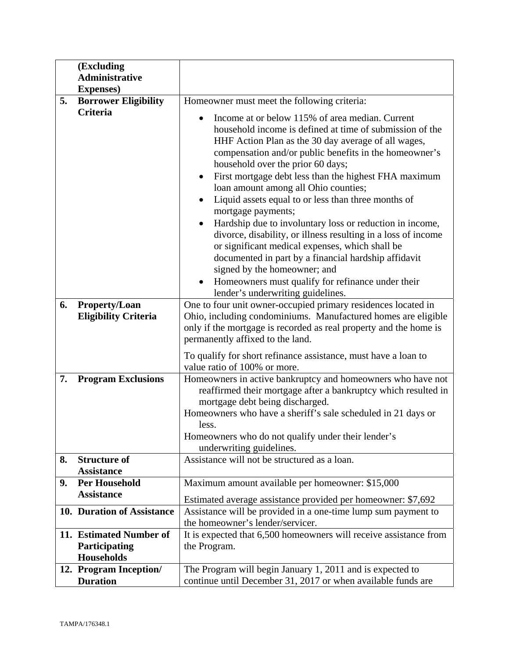|    | (Excluding<br><b>Administrative</b>                           |                                                                                                                                                                                                                                                                                                                                                                                                                                                                                                                                                                                                                                                                                                                                                                                                                                             |
|----|---------------------------------------------------------------|---------------------------------------------------------------------------------------------------------------------------------------------------------------------------------------------------------------------------------------------------------------------------------------------------------------------------------------------------------------------------------------------------------------------------------------------------------------------------------------------------------------------------------------------------------------------------------------------------------------------------------------------------------------------------------------------------------------------------------------------------------------------------------------------------------------------------------------------|
|    | <b>Expenses</b> )                                             |                                                                                                                                                                                                                                                                                                                                                                                                                                                                                                                                                                                                                                                                                                                                                                                                                                             |
| 5. | <b>Borrower Eligibility</b>                                   | Homeowner must meet the following criteria:                                                                                                                                                                                                                                                                                                                                                                                                                                                                                                                                                                                                                                                                                                                                                                                                 |
|    | <b>Criteria</b>                                               | Income at or below 115% of area median. Current<br>household income is defined at time of submission of the<br>HHF Action Plan as the 30 day average of all wages,<br>compensation and/or public benefits in the homeowner's<br>household over the prior 60 days;<br>First mortgage debt less than the highest FHA maximum<br>$\bullet$<br>loan amount among all Ohio counties;<br>Liquid assets equal to or less than three months of<br>mortgage payments;<br>Hardship due to involuntary loss or reduction in income,<br>divorce, disability, or illness resulting in a loss of income<br>or significant medical expenses, which shall be<br>documented in part by a financial hardship affidavit<br>signed by the homeowner; and<br>Homeowners must qualify for refinance under their<br>$\bullet$<br>lender's underwriting guidelines. |
| 6. | <b>Property/Loan</b><br><b>Eligibility Criteria</b>           | One to four unit owner-occupied primary residences located in<br>Ohio, including condominiums. Manufactured homes are eligible<br>only if the mortgage is recorded as real property and the home is<br>permanently affixed to the land.<br>To qualify for short refinance assistance, must have a loan to                                                                                                                                                                                                                                                                                                                                                                                                                                                                                                                                   |
|    |                                                               | value ratio of 100% or more.                                                                                                                                                                                                                                                                                                                                                                                                                                                                                                                                                                                                                                                                                                                                                                                                                |
| 7. | <b>Program Exclusions</b>                                     | Homeowners in active bankruptcy and homeowners who have not<br>reaffirmed their mortgage after a bankruptcy which resulted in<br>mortgage debt being discharged.<br>Homeowners who have a sheriff's sale scheduled in 21 days or<br>less.<br>Homeowners who do not qualify under their lender's<br>underwriting guidelines.                                                                                                                                                                                                                                                                                                                                                                                                                                                                                                                 |
| 8. | <b>Structure of</b><br><b>Assistance</b>                      | Assistance will not be structured as a loan.                                                                                                                                                                                                                                                                                                                                                                                                                                                                                                                                                                                                                                                                                                                                                                                                |
| 9. | <b>Per Household</b><br><b>Assistance</b>                     | Maximum amount available per homeowner: \$15,000<br>Estimated average assistance provided per homeowner: \$7,692                                                                                                                                                                                                                                                                                                                                                                                                                                                                                                                                                                                                                                                                                                                            |
|    | 10. Duration of Assistance                                    | Assistance will be provided in a one-time lump sum payment to<br>the homeowner's lender/servicer.                                                                                                                                                                                                                                                                                                                                                                                                                                                                                                                                                                                                                                                                                                                                           |
|    | 11. Estimated Number of<br>Participating<br><b>Households</b> | It is expected that 6,500 homeowners will receive assistance from<br>the Program.                                                                                                                                                                                                                                                                                                                                                                                                                                                                                                                                                                                                                                                                                                                                                           |
|    | 12. Program Inception/<br><b>Duration</b>                     | The Program will begin January 1, 2011 and is expected to<br>continue until December 31, 2017 or when available funds are                                                                                                                                                                                                                                                                                                                                                                                                                                                                                                                                                                                                                                                                                                                   |